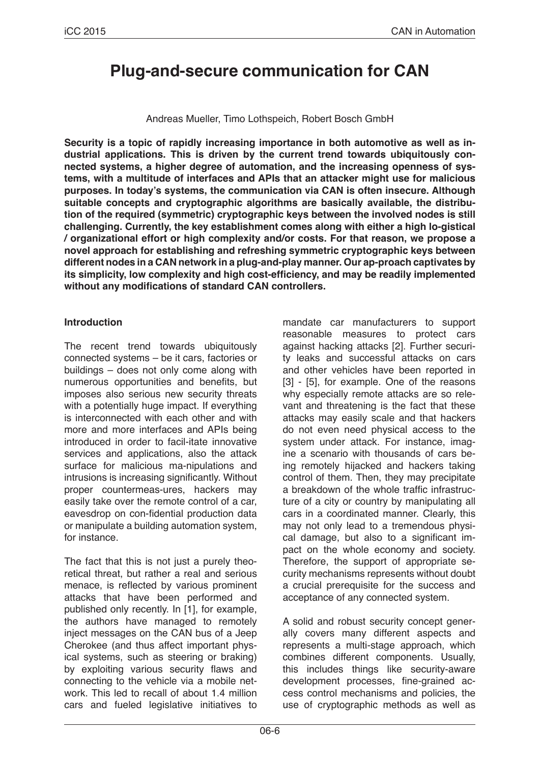# **Plug-and-secure communication for CAN**

Andreas Mueller, Timo Lothspeich, Robert Bosch GmbH

**Security is a topic of rapidly increasing importance in both automotive as well as industrial applications. This is driven by the current trend towards ubiquitously connected systems, a higher degree of automation, and the increasing openness of systems, with a multitude of interfaces and APIs that an attacker might use for malicious purposes. In today's systems, the communication via CAN is often insecure. Although suitable concepts and cryptographic algorithms are basically available, the distribution of the required (symmetric) cryptographic keys between the involved nodes is still challenging. Currently, the key establishment comes along with either a high lo-gistical / organizational effort or high complexity and/or costs. For that reason, we propose a novel approach for establishing and refreshing symmetric cryptographic keys between different nodes in a CAN network in a plug-and-play manner. Our ap-proach captivates by its simplicity, low complexity and high cost-efficiency, and may be readily implemented without any modifications of standard CAN controllers.**

#### **Introduction**

The recent trend towards ubiquitously connected systems – be it cars, factories or buildings – does not only come along with numerous opportunities and benefits, but imposes also serious new security threats with a potentially huge impact. If everything is interconnected with each other and with more and more interfaces and APIs being introduced in order to facil-itate innovative services and applications, also the attack surface for malicious ma-nipulations and intrusions is increasing significantly. Without proper countermeas-ures, hackers may easily take over the remote control of a car, eavesdrop on con-fidential production data or manipulate a building automation system, for instance.

The fact that this is not just a purely theoretical threat, but rather a real and serious menace, is reflected by various prominent attacks that have been performed and published only recently. In [1], for example, the authors have managed to remotely inject messages on the CAN bus of a Jeep Cherokee (and thus affect important physical systems, such as steering or braking) by exploiting various security flaws and connecting to the vehicle via a mobile network. This led to recall of about 1.4 million cars and fueled legislative initiatives to mandate car manufacturers to support reasonable measures to protect cars against hacking attacks [2]. Further security leaks and successful attacks on cars and other vehicles have been reported in [3] - [5], for example. One of the reasons why especially remote attacks are so relevant and threatening is the fact that these attacks may easily scale and that hackers do not even need physical access to the system under attack. For instance, imagine a scenario with thousands of cars being remotely hijacked and hackers taking control of them. Then, they may precipitate a breakdown of the whole traffic infrastructure of a city or country by manipulating all cars in a coordinated manner. Clearly, this may not only lead to a tremendous physical damage, but also to a significant impact on the whole economy and society. Therefore, the support of appropriate security mechanisms represents without doubt a crucial prerequisite for the success and acceptance of any connected system.

A solid and robust security concept generally covers many different aspects and represents a multi-stage approach, which combines different components. Usually, this includes things like security-aware development processes, fine-grained access control mechanisms and policies, the use of cryptographic methods as well as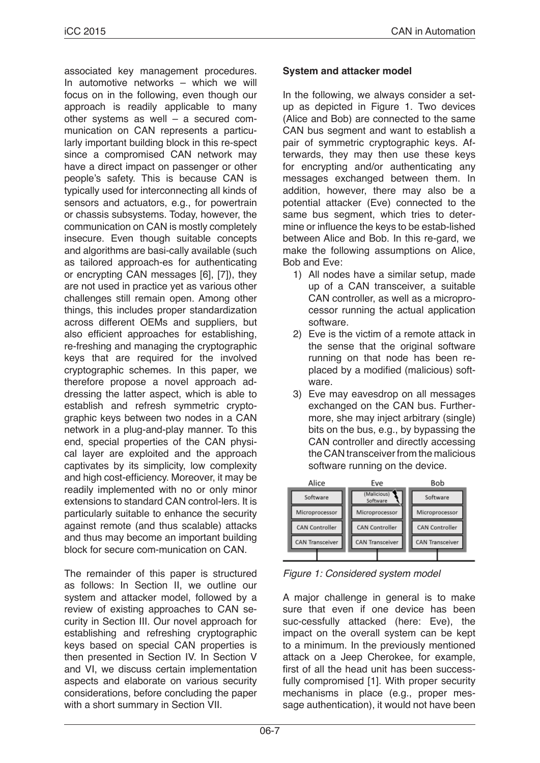associated key management procedures. In automotive networks – which we will focus on in the following, even though our approach is readily applicable to many other systems as well – a secured communication on CAN represents a particularly important building block in this re-spect since a compromised CAN network may have a direct impact on passenger or other people's safety. This is because CAN is typically used for interconnecting all kinds of sensors and actuators, e.g., for powertrain or chassis subsystems. Today, however, the communication on CAN is mostly completely insecure. Even though suitable concepts and algorithms are basi-cally available (such as tailored approach-es for authenticating or encrypting CAN messages [6], [7]), they are not used in practice yet as various other challenges still remain open. Among other things, this includes proper standardization across different OEMs and suppliers, but also efficient approaches for establishing, re-freshing and managing the cryptographic keys that are required for the involved cryptographic schemes. In this paper, we therefore propose a novel approach addressing the latter aspect, which is able to establish and refresh symmetric cryptographic keys between two nodes in a CAN network in a plug-and-play manner. To this end, special properties of the CAN physical layer are exploited and the approach captivates by its simplicity, low complexity and high cost-efficiency. Moreover, it may be readily implemented with no or only minor extensions to standard CAN control-lers. It is particularly suitable to enhance the security against remote (and thus scalable) attacks and thus may become an important building block for secure com-munication on CAN.

The remainder of this paper is structured as follows: In Section II, we outline our system and attacker model, followed by a review of existing approaches to CAN security in Section III. Our novel approach for establishing and refreshing cryptographic keys based on special CAN properties is then presented in Section IV. In Section V and VI, we discuss certain implementation aspects and elaborate on various security considerations, before concluding the paper with a short summary in Section VII.

#### **System and attacker model**

In the following, we always consider a setup as depicted in Figure 1. Two devices (Alice and Bob) are connected to the same CAN bus segment and want to establish a pair of symmetric cryptographic keys. Afterwards, they may then use these keys for encrypting and/or authenticating any messages exchanged between them. In addition, however, there may also be a potential attacker (Eve) connected to the same bus segment, which tries to determine or influence the keys to be estab-lished between Alice and Bob. In this re-gard, we make the following assumptions on Alice, Bob and Eve:

- 1) All nodes have a similar setup, made up of a CAN transceiver, a suitable CAN controller, as well as a microprocessor running the actual application software.
- 2) Eve is the victim of a remote attack in the sense that the original software running on that node has been replaced by a modified (malicious) software.
- 3) Eve may eavesdrop on all messages exchanged on the CAN bus. Furthermore, she may inject arbitrary (single) bits on the bus, e.g., by bypassing the CAN controller and directly accessing the CAN transceiver from the malicious software running on the device.



*Figure 1: Considered system model*

A major challenge in general is to make sure that even if one device has been suc-cessfully attacked (here: Eve), the impact on the overall system can be kept to a minimum. In the previously mentioned attack on a Jeep Cherokee, for example, first of all the head unit has been successfully compromised [1]. With proper security mechanisms in place (e.g., proper message authentication), it would not have been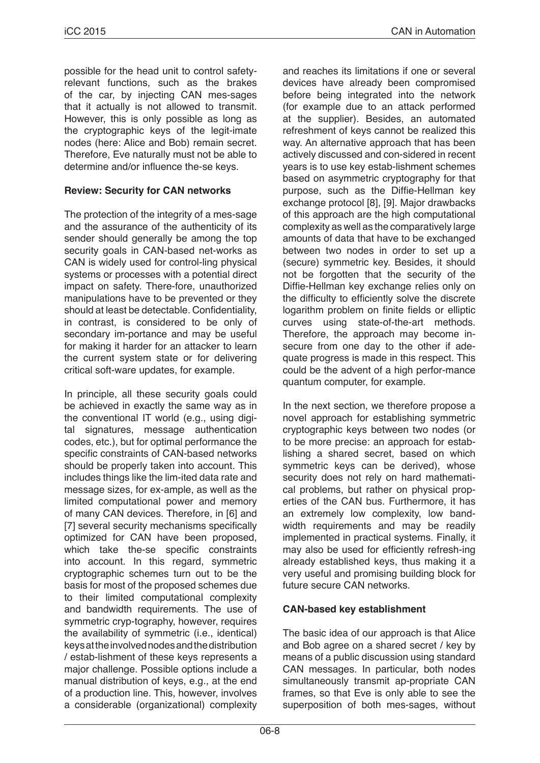possible for the head unit to control safetyrelevant functions, such as the brakes of the car, by injecting CAN mes-sages that it actually is not allowed to transmit. However, this is only possible as long as the cryptographic keys of the legit-imate nodes (here: Alice and Bob) remain secret. Therefore, Eve naturally must not be able to determine and/or influence the-se keys.

### **Review: Security for CAN networks**

The protection of the integrity of a mes-sage and the assurance of the authenticity of its sender should generally be among the top security goals in CAN-based net-works as CAN is widely used for control-ling physical systems or processes with a potential direct impact on safety. There-fore, unauthorized manipulations have to be prevented or they should at least be detectable. Confidentiality, in contrast, is considered to be only of secondary im-portance and may be useful for making it harder for an attacker to learn the current system state or for delivering critical soft-ware updates, for example.

In principle, all these security goals could be achieved in exactly the same way as in the conventional IT world (e.g., using digital signatures, message authentication codes, etc.), but for optimal performance the specific constraints of CAN-based networks should be properly taken into account. This includes things like the lim-ited data rate and message sizes, for ex-ample, as well as the limited computational power and memory of many CAN devices. Therefore, in [6] and [7] several security mechanisms specifically optimized for CAN have been proposed, which take the-se specific constraints into account. In this regard, symmetric cryptographic schemes turn out to be the basis for most of the proposed schemes due to their limited computational complexity and bandwidth requirements. The use of symmetric cryp-tography, however, requires the availability of symmetric (i.e., identical) keys at the involved nodes and the distribution / estab-lishment of these keys represents a major challenge. Possible options include a manual distribution of keys, e.g., at the end of a production line. This, however, involves a considerable (organizational) complexity and reaches its limitations if one or several devices have already been compromised before being integrated into the network (for example due to an attack performed at the supplier). Besides, an automated refreshment of keys cannot be realized this way. An alternative approach that has been actively discussed and con-sidered in recent years is to use key estab-lishment schemes based on asymmetric cryptography for that purpose, such as the Diffie-Hellman key exchange protocol [8], [9]. Major drawbacks of this approach are the high computational complexity as well as the comparatively large amounts of data that have to be exchanged between two nodes in order to set up a (secure) symmetric key. Besides, it should not be forgotten that the security of the Diffie-Hellman key exchange relies only on the difficulty to efficiently solve the discrete logarithm problem on finite fields or elliptic curves using state-of-the-art methods. Therefore, the approach may become insecure from one day to the other if adequate progress is made in this respect. This could be the advent of a high perfor-mance quantum computer, for example.

In the next section, we therefore propose a novel approach for establishing symmetric cryptographic keys between two nodes (or to be more precise: an approach for establishing a shared secret, based on which symmetric keys can be derived), whose security does not rely on hard mathematical problems, but rather on physical properties of the CAN bus. Furthermore, it has an extremely low complexity, low bandwidth requirements and may be readily implemented in practical systems. Finally, it may also be used for efficiently refresh-ing already established keys, thus making it a very useful and promising building block for future secure CAN networks.

## **CAN-based key establishment**

The basic idea of our approach is that Alice and Bob agree on a shared secret / key by means of a public discussion using standard CAN messages. In particular, both nodes simultaneously transmit ap-propriate CAN frames, so that Eve is only able to see the superposition of both mes-sages, without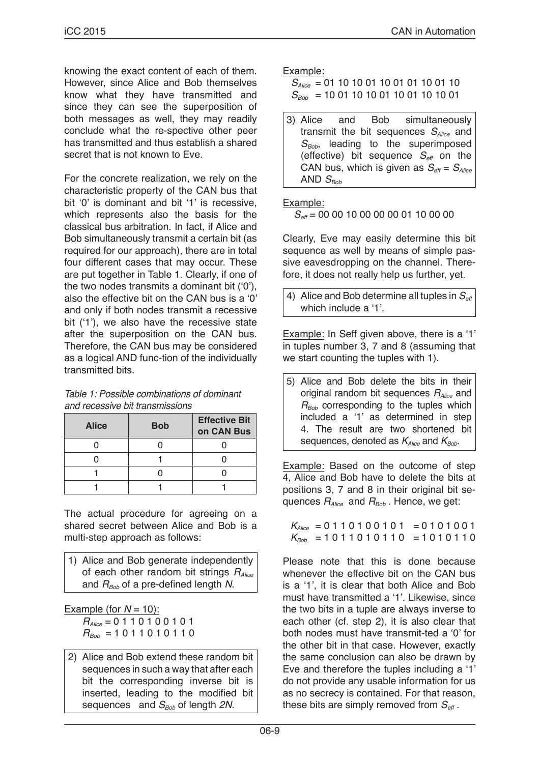knowing the exact content of each of them. However, since Alice and Bob themselves know what they have transmitted and since they can see the superposition of both messages as well, they may readily conclude what the re-spective other peer has transmitted and thus establish a shared secret that is not known to Eve.

For the concrete realization, we rely on the characteristic property of the CAN bus that bit '0' is dominant and bit '1' is recessive, which represents also the basis for the classical bus arbitration. In fact, if Alice and Bob simultaneously transmit a certain bit (as required for our approach), there are in total four different cases that may occur. These are put together in Table 1. Clearly, if one of the two nodes transmits a dominant bit ('0'), also the effective bit on the CAN bus is a '0' and only if both nodes transmit a recessive bit ('1'), we also have the recessive state after the superposition on the CAN bus. Therefore, the CAN bus may be considered as a logical AND func-tion of the individually transmitted bits.

| Table 1: Possible combinations of dominant |
|--------------------------------------------|
| and recessive bit transmissions            |

| <b>Alice</b> | <b>Bob</b> | <b>Effective Bit</b><br>on CAN Bus |
|--------------|------------|------------------------------------|
|              |            |                                    |
|              |            |                                    |
|              |            |                                    |
|              |            |                                    |

The actual procedure for agreeing on a shared secret between Alice and Bob is a multi-step approach as follows:

1) Alice and Bob generate independently of each other random bit strings *RAlice* and  $R_{Bob}$  of a pre-defined length *N*.

Example (for  $N = 10$ ): *RAlice* = 0 1 1 0 1 0 0 1 0 1  $R_{B_0b} = 1011010110$ 

2) Alice and Bob extend these random bit sequences in such a way that after each bit the corresponding inverse bit is inserted, leading to the modified bit sequences and *S<sub>Bob</sub>* of length 2N.

Example:

 *SAlice* = 01 10 10 01 10 01 01 10 01 10  $S_{Bob}$  = 10 01 10 10 01 10 01 10 10 01

3) Alice and Bob simultaneously transmit the bit sequences *SAlice* and S<sub>Bob</sub>, leading to the superimposed (effective) bit sequence  $S_{\text{eff}}$  on the CAN bus, which is given as  $S_{\text{eff}} = S_{\text{Alice}}$ AND  $S_{\text{Bob}}$ 

Example:

*S<sub>eff</sub>* = 00 00 10 00 00 00 00 01 10 00 00

Clearly, Eve may easily determine this bit sequence as well by means of simple passive eavesdropping on the channel. Therefore, it does not really help us further, yet.

4) Alice and Bob determine all tuples in  $S_{\text{eff}}$ which include a '1'.

Example: In Seff given above, there is a '1' in tuples number 3, 7 and 8 (assuming that we start counting the tuples with 1).

5) Alice and Bob delete the bits in their original random bit sequences *RAlice* and  $R_{Bob}$  corresponding to the tuples which included a '1' as determined in step 4. The result are two shortened bit sequences, denoted as  $K_{Alice}$  and  $K_{Bob}$ .

Example: Based on the outcome of step 4, Alice and Bob have to delete the bits at positions 3, 7 and 8 in their original bit sequences *RAlice* and *RBob* . Hence, we get:

 $K_{Alice}$  = 0 1 1 0 1 0 0 1 0 1 = 0 1 0 1 0 0 1  $K_{\text{Bob}}$  = 1011010110 = 1010110

Please note that this is done because whenever the effective bit on the CAN bus is a '1', it is clear that both Alice and Bob must have transmitted a '1'. Likewise, since the two bits in a tuple are always inverse to each other (cf. step 2), it is also clear that both nodes must have transmit-ted a '0' for the other bit in that case. However, exactly the same conclusion can also be drawn by Eve and therefore the tuples including a '1' do not provide any usable information for us as no secrecy is contained. For that reason, these bits are simply removed from  $S_{\text{eff}}$ .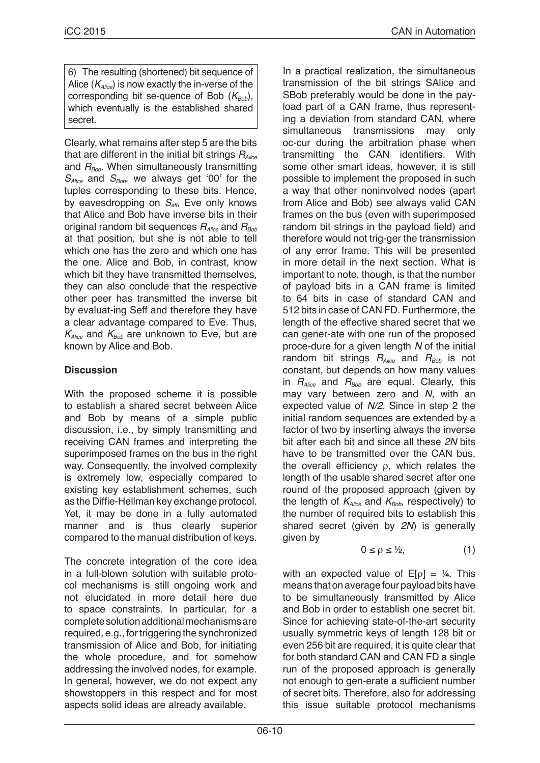6) The resulting (shortened) bit sequence of Alice (*KAlice*) is now exactly the in-verse of the corresponding bit se-quence of Bob ( $K_{B_0b}$ ), which eventually is the established shared secret.

Clearly, what remains after step 5 are the bits that are different in the initial bit strings *RAlice* and  $R_{Bob}$ . When simultaneously transmitting *SAlice* and *SBob*, we always get '00' for the tuples corresponding to these bits. Hence, by eavesdropping on *Seff*, Eve only knows that Alice and Bob have inverse bits in their original random bit sequences  $R_{Alice}$  and  $R_{Bob}$ at that position, but she is not able to tell which one has the zero and which one has the one. Alice and Bob, in contrast, know which bit they have transmitted themselves. they can also conclude that the respective other peer has transmitted the inverse bit by evaluat-ing Seff and therefore they have a clear advantage compared to Eve. Thus,  $K_{Alice}$  and  $K_{Bob}$  are unknown to Eve, but are known by Alice and Bob.

## **Discussion**

With the proposed scheme it is possible to establish a shared secret between Alice and Bob by means of a simple public discussion, i.e., by simply transmitting and receiving CAN frames and interpreting the superimposed frames on the bus in the right way. Consequently, the involved complexity is extremely low, especially compared to existing key establishment schemes, such as the Diffie-Hellman key exchange protocol. Yet, it may be done in a fully automated manner and is thus clearly superior compared to the manual distribution of keys.

The concrete integration of the core idea in a full-blown solution with suitable protocol mechanisms is still ongoing work and not elucidated in more detail here due to space constraints. In particular, for a complete solution additional mechanisms are required, e.g., for triggering the synchronized transmission of Alice and Bob, for initiating the whole procedure, and for somehow addressing the involved nodes, for example. In general, however, we do not expect any showstoppers in this respect and for most aspects solid ideas are already available.

In a practical realization, the simultaneous transmission of the bit strings SAlice and SBob preferably would be done in the payload part of a CAN frame, thus representing a deviation from standard CAN, where simultaneous transmissions may only oc-cur during the arbitration phase when transmitting the CAN identifiers. With some other smart ideas, however, it is still possible to implement the proposed in such a way that other noninvolved nodes (apart from Alice and Bob) see always valid CAN frames on the bus (even with superimposed random bit strings in the payload field) and therefore would not trig-ger the transmission of any error frame. This will be presented in more detail in the next section. What is important to note, though, is that the number of payload bits in a CAN frame is limited to 64 bits in case of standard CAN and 512 bits in case of CAN FD. Furthermore, the length of the effective shared secret that we can gener-ate with one run of the proposed proce-dure for a given length *N* of the initial random bit strings  $R_{Alice}$  and  $R_{Bob}$  is not constant, but depends on how many values in *RAlice* and *RBob* are equal. Clearly, this may vary between zero and *N*, with an expected value of *N/2*. Since in step 2 the initial random sequences are extended by a factor of two by inserting always the inverse bit after each bit and since all these *2N* bits have to be transmitted over the CAN bus, the overall efficiency ρ, which relates the length of the usable shared secret after one round of the proposed approach (given by the length of  $K_{Alice}$  and  $K_{Bob}$ , respectively) to the number of required bits to establish this shared secret (given by *2N*) is generally given by

$$
0 \le \rho \le \frac{1}{2}, \tag{1}
$$

with an expected value of  $E[\rho] = \frac{1}{4}$ . This means that on average four payload bits have to be simultaneously transmitted by Alice and Bob in order to establish one secret bit. Since for achieving state-of-the-art security usually symmetric keys of length 128 bit or even 256 bit are required, it is quite clear that for both standard CAN and CAN FD a single run of the proposed approach is generally not enough to gen-erate a sufficient number of secret bits. Therefore, also for addressing this issue suitable protocol mechanisms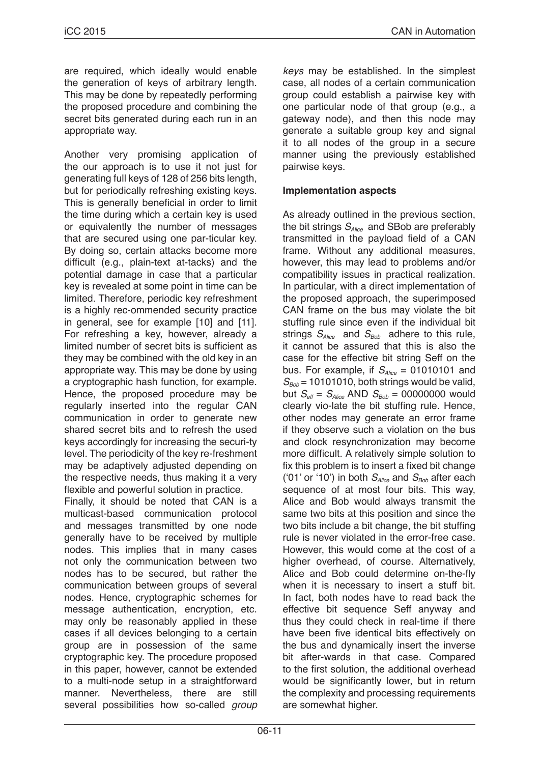are required, which ideally would enable the generation of keys of arbitrary length. This may be done by repeatedly performing the proposed procedure and combining the secret bits generated during each run in an appropriate way.

Another very promising application of the our approach is to use it not just for generating full keys of 128 of 256 bits length, but for periodically refreshing existing keys. This is generally beneficial in order to limit the time during which a certain key is used or equivalently the number of messages that are secured using one par-ticular key. By doing so, certain attacks become more difficult (e.g., plain-text at-tacks) and the potential damage in case that a particular key is revealed at some point in time can be limited. Therefore, periodic key refreshment is a highly rec-ommended security practice in general, see for example [10] and [11]. For refreshing a key, however, already a limited number of secret bits is sufficient as they may be combined with the old key in an appropriate way. This may be done by using a cryptographic hash function, for example. Hence, the proposed procedure may be regularly inserted into the regular CAN communication in order to generate new shared secret bits and to refresh the used keys accordingly for increasing the securi-ty level. The periodicity of the key re-freshment may be adaptively adjusted depending on the respective needs, thus making it a very flexible and powerful solution in practice.

Finally, it should be noted that CAN is a multicast-based communication protocol and messages transmitted by one node generally have to be received by multiple nodes. This implies that in many cases not only the communication between two nodes has to be secured, but rather the communication between groups of several nodes. Hence, cryptographic schemes for message authentication, encryption, etc. may only be reasonably applied in these cases if all devices belonging to a certain group are in possession of the same cryptographic key. The procedure proposed in this paper, however, cannot be extended to a multi-node setup in a straightforward manner. Nevertheless, there are still several possibilities how so-called *group*  *keys* may be established. In the simplest case, all nodes of a certain communication group could establish a pairwise key with one particular node of that group (e.g., a gateway node), and then this node may generate a suitable group key and signal it to all nodes of the group in a secure manner using the previously established pairwise keys.

## **Implementation aspects**

As already outlined in the previous section, the bit strings *SAlice* and SBob are preferably transmitted in the payload field of a CAN frame. Without any additional measures, however, this may lead to problems and/or compatibility issues in practical realization. In particular, with a direct implementation of the proposed approach, the superimposed CAN frame on the bus may violate the bit stuffing rule since even if the individual bit strings  $S_{Alice}$  and  $S_{Bob}$  adhere to this rule, it cannot be assured that this is also the case for the effective bit string Seff on the bus. For example, if  $S_{Alice} = 01010101$  and  $S_{Bob}$  = 10101010, both strings would be valid, but  $S_{\text{eff}} = S_{\text{Alice}}$  AND  $S_{\text{Bob}} = 00000000$  would clearly vio-late the bit stuffing rule. Hence, other nodes may generate an error frame if they observe such a violation on the bus and clock resynchronization may become more difficult. A relatively simple solution to fix this problem is to insert a fixed bit change ('01' or '10') in both  $S_{Alice}$  and  $S_{Bob}$  after each sequence of at most four bits. This way, Alice and Bob would always transmit the same two bits at this position and since the two bits include a bit change, the bit stuffing rule is never violated in the error-free case. However, this would come at the cost of a higher overhead, of course. Alternatively, Alice and Bob could determine on-the-fly when it is necessary to insert a stuff bit. In fact, both nodes have to read back the effective bit sequence Seff anyway and thus they could check in real-time if there have been five identical bits effectively on the bus and dynamically insert the inverse bit after-wards in that case. Compared to the first solution, the additional overhead would be significantly lower, but in return the complexity and processing requirements are somewhat higher.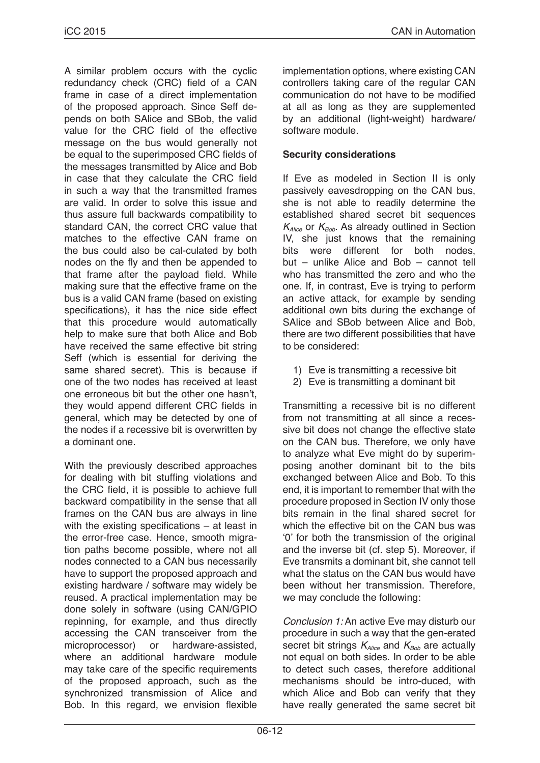A similar problem occurs with the cyclic redundancy check (CRC) field of a CAN frame in case of a direct implementation of the proposed approach. Since Seff depends on both SAlice and SBob, the valid value for the CRC field of the effective message on the bus would generally not be equal to the superimposed CRC fields of the messages transmitted by Alice and Bob in case that they calculate the CRC field in such a way that the transmitted frames are valid. In order to solve this issue and thus assure full backwards compatibility to standard CAN, the correct CRC value that matches to the effective CAN frame on the bus could also be cal-culated by both nodes on the fly and then be appended to that frame after the payload field. While making sure that the effective frame on the bus is a valid CAN frame (based on existing specifications), it has the nice side effect that this procedure would automatically help to make sure that both Alice and Bob have received the same effective bit string Seff (which is essential for deriving the same shared secret). This is because if one of the two nodes has received at least one erroneous bit but the other one hasn't, they would append different CRC fields in general, which may be detected by one of the nodes if a recessive bit is overwritten by a dominant one.

With the previously described approaches for dealing with bit stuffing violations and the CRC field, it is possible to achieve full backward compatibility in the sense that all frames on the CAN bus are always in line with the existing specifications – at least in the error-free case. Hence, smooth migration paths become possible, where not all nodes connected to a CAN bus necessarily have to support the proposed approach and existing hardware / software may widely be reused. A practical implementation may be done solely in software (using CAN/GPIO repinning, for example, and thus directly accessing the CAN transceiver from the microprocessor) or hardware-assisted, where an additional hardware module may take care of the specific requirements of the proposed approach, such as the synchronized transmission of Alice and Bob. In this regard, we envision flexible

implementation options, where existing CAN controllers taking care of the regular CAN communication do not have to be modified at all as long as they are supplemented by an additional (light-weight) hardware/ software module.

## **Security considerations**

If Eve as modeled in Section II is only passively eavesdropping on the CAN bus, she is not able to readily determine the established shared secret bit sequences  $K_{Alice}$  or  $K_{Bob}$ . As already outlined in Section IV, she just knows that the remaining<br>bits were different for both nodes. bits were different for both but – unlike Alice and Bob – cannot tell who has transmitted the zero and who the one. If, in contrast, Eve is trying to perform an active attack, for example by sending additional own bits during the exchange of SAlice and SBob between Alice and Bob, there are two different possibilities that have to be considered:

- 1) Eve is transmitting a recessive bit
- 2) Eve is transmitting a dominant bit

Transmitting a recessive bit is no different from not transmitting at all since a recessive bit does not change the effective state on the CAN bus. Therefore, we only have to analyze what Eve might do by superimposing another dominant bit to the bits exchanged between Alice and Bob. To this end, it is important to remember that with the procedure proposed in Section IV only those bits remain in the final shared secret for which the effective bit on the CAN bus was '0' for both the transmission of the original and the inverse bit (cf. step 5). Moreover, if Eve transmits a dominant bit, she cannot tell what the status on the CAN bus would have been without her transmission. Therefore, we may conclude the following:

*Conclusion 1:* An active Eve may disturb our procedure in such a way that the gen-erated secret bit strings  $K_{Alice}$  and  $K_{Bob}$  are actually not equal on both sides. In order to be able to detect such cases, therefore additional mechanisms should be intro-duced, with which Alice and Bob can verify that they have really generated the same secret bit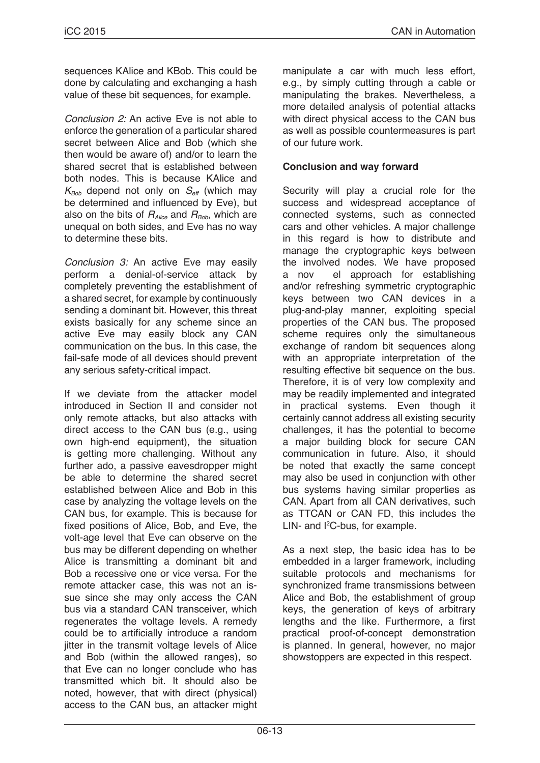sequences KAlice and KBob. This could be done by calculating and exchanging a hash value of these bit sequences, for example.

*Conclusion 2:* An active Eve is not able to enforce the generation of a particular shared secret between Alice and Bob (which she then would be aware of) and/or to learn the shared secret that is established between both nodes. This is because KAlice and  $K_{Bob}$  depend not only on  $S_{\text{eff}}$  (which may be determined and influenced by Eve), but also on the bits of  $R_{Alice}$  and  $R_{Bob}$ , which are unequal on both sides, and Eve has no way to determine these bits.

*Conclusion 3:* An active Eve may easily perform a denial-of-service attack by completely preventing the establishment of a shared secret, for example by continuously sending a dominant bit. However, this threat exists basically for any scheme since an active Eve may easily block any CAN communication on the bus. In this case, the fail-safe mode of all devices should prevent any serious safety-critical impact.

If we deviate from the attacker model introduced in Section II and consider not only remote attacks, but also attacks with direct access to the CAN bus (e.g., using own high-end equipment), the situation is getting more challenging. Without any further ado, a passive eavesdropper might be able to determine the shared secret established between Alice and Bob in this case by analyzing the voltage levels on the CAN bus, for example. This is because for fixed positions of Alice, Bob, and Eve, the volt-age level that Eve can observe on the bus may be different depending on whether Alice is transmitting a dominant bit and Bob a recessive one or vice versa. For the remote attacker case, this was not an issue since she may only access the CAN bus via a standard CAN transceiver, which regenerates the voltage levels. A remedy could be to artificially introduce a random jitter in the transmit voltage levels of Alice and Bob (within the allowed ranges), so that Eve can no longer conclude who has transmitted which bit. It should also be noted, however, that with direct (physical) access to the CAN bus, an attacker might

manipulate a car with much less effort, e.g., by simply cutting through a cable or manipulating the brakes. Nevertheless, a more detailed analysis of potential attacks with direct physical access to the CAN bus as well as possible countermeasures is part of our future work.

## **Conclusion and way forward**

Security will play a crucial role for the success and widespread acceptance of connected systems, such as connected cars and other vehicles. A major challenge in this regard is how to distribute and manage the cryptographic keys between the involved nodes. We have proposed a nov el approach for establishing and/or refreshing symmetric cryptographic keys between two CAN devices in a plug-and-play manner, exploiting special properties of the CAN bus. The proposed scheme requires only the simultaneous exchange of random bit sequences along with an appropriate interpretation of the resulting effective bit sequence on the bus. Therefore, it is of very low complexity and may be readily implemented and integrated in practical systems. Even though it certainly cannot address all existing security challenges, it has the potential to become a major building block for secure CAN communication in future. Also, it should be noted that exactly the same concept may also be used in conjunction with other bus systems having similar properties as CAN. Apart from all CAN derivatives, such as TTCAN or CAN FD, this includes the LIN- and  $l^2C$ -bus, for example.

As a next step, the basic idea has to be embedded in a larger framework, including suitable protocols and mechanisms for synchronized frame transmissions between Alice and Bob, the establishment of group keys, the generation of keys of arbitrary lengths and the like. Furthermore, a first practical proof-of-concept demonstration is planned. In general, however, no major showstoppers are expected in this respect.